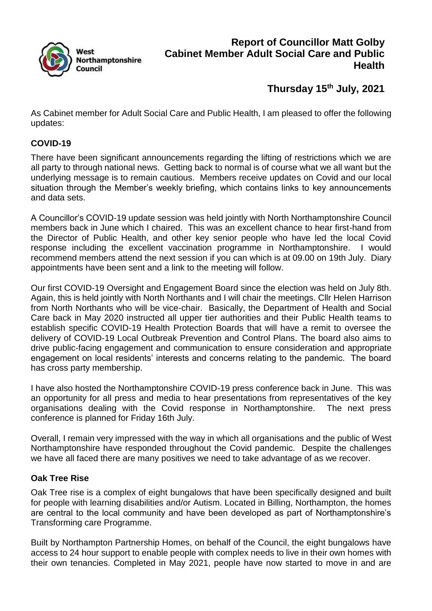

# **Report of Councillor Matt Golby Cabinet Member Adult Social Care and Public Health**

# **Thursday 15th July, 2021**

As Cabinet member for Adult Social Care and Public Health, I am pleased to offer the following updates:

#### **COVID-19**

There have been significant announcements regarding the lifting of restrictions which we are all party to through national news. Getting back to normal is of course what we all want but the underlying message is to remain cautious. Members receive updates on Covid and our local situation through the Member's weekly briefing, which contains links to key announcements and data sets.

A Councillor's COVID-19 update session was held jointly with North Northamptonshire Council members back in June which I chaired. This was an excellent chance to hear first-hand from the Director of Public Health, and other key senior people who have led the local Covid response including the excellent vaccination programme in Northamptonshire. I would recommend members attend the next session if you can which is at 09.00 on 19th July. Diary appointments have been sent and a link to the meeting will follow.

Our first COVID-19 Oversight and Engagement Board since the election was held on July 8th. Again, this is held jointly with North Northants and I will chair the meetings. Cllr Helen Harrison from North Northants who will be vice-chair. Basically, the Department of Health and Social Care back in May 2020 instructed all upper tier authorities and their Public Health teams to establish specific COVID-19 Health Protection Boards that will have a remit to oversee the delivery of COVID-19 Local Outbreak Prevention and Control Plans. The board also aims to drive public-facing engagement and communication to ensure consideration and appropriate engagement on local residents' interests and concerns relating to the pandemic. The board has cross party membership.

I have also hosted the Northamptonshire COVID-19 press conference back in June. This was an opportunity for all press and media to hear presentations from representatives of the key organisations dealing with the Covid response in Northamptonshire. The next press conference is planned for Friday 16th July.

Overall, I remain very impressed with the way in which all organisations and the public of West Northamptonshire have responded throughout the Covid pandemic. Despite the challenges we have all faced there are many positives we need to take advantage of as we recover.

#### **Oak Tree Rise**

Oak Tree rise is a complex of eight bungalows that have been specifically designed and built for people with learning disabilities and/or Autism. Located in Billing, Northampton, the homes are central to the local community and have been developed as part of Northamptonshire's Transforming care Programme.

Built by Northampton Partnership Homes, on behalf of the Council, the eight bungalows have access to 24 hour support to enable people with complex needs to live in their own homes with their own tenancies. Completed in May 2021, people have now started to move in and are